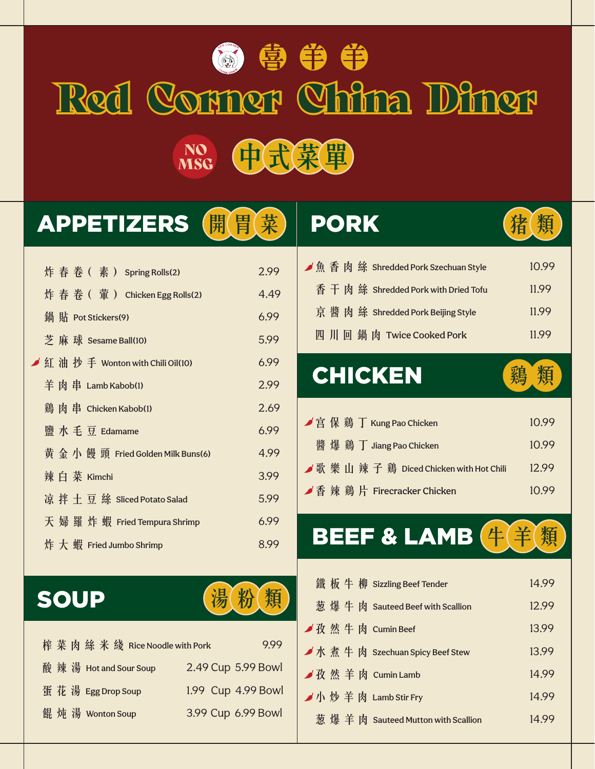# Red Corner China Diner 色 争 争 争 NO (中)式菜單) MSG

### APPETIZERS (開胃菜)

|  |  | 炸春卷(素) Spring Rolls(2)              | 2.99 |
|--|--|-------------------------------------|------|
|  |  | 炸春卷 (葷) Chicken Egg Rolls(2)        | 4.49 |
|  |  | 鍋 貼 Pot Stickers(9)                 | 6.99 |
|  |  | 芝 麻 球 Sesame Ball(10)               | 5.99 |
|  |  | ✔ 紅 油 抄 手 Wonton with Chili Oil(10) | 6.99 |
|  |  | 羊肉串 Lamb Kabob(1)                   | 2.99 |
|  |  | 鷄肉串 Chicken Kabob(1)                | 2.69 |
|  |  | 鹽水毛豆 Edamame                        | 6.99 |
|  |  | 黄 金 小 饅 頭 Fried Golden Milk Buns(6) | 4.99 |
|  |  | 辣白菜 Kimchi                          | 3.99 |
|  |  | 凉 拌 土 豆 絲 Sliced Potato Salad       | 5.99 |
|  |  | 天 婦 羅 炸 蝦 Fried Tempura Shrimp      | 6.99 |
|  |  | 炸大蝦 Fried Jumbo Shrimp              | 8.99 |
|  |  |                                     |      |

#### **■魚香肉絲 Shredded Pork Szechuan Style 10.99** 香 干 肉 絲 Shredded Pork with Dried Tofu 11.99 京 醬 肉 絲 Shredded Pork Beijing Style 11.99 四川回鍋肉 Twice Cooked Pork 11.99

PORK 精 衡

### CHICKEN 编 類



|  |  | ✔宮 保 鷄 丁 Kung Pao Chicken                  | 10.99 |
|--|--|--------------------------------------------|-------|
|  |  | 醬 爆 鷄 丁 Jiang Pao Chicken                  | 10.99 |
|  |  | ◢ 歌 樂 山 辣 子 鷄 Diced Chicken with Hot Chili | 12.99 |
|  |  | ✔ 香 辣 鷄 片 Firecracker Chicken              | 10.99 |

## BEEF & LAMB  $4$  $4$



|  | 榨菜肉絲米綫 Rice Noodle with Pork |                    | 9.99 |
|--|------------------------------|--------------------|------|
|  | 酸 辣 湯 Hot and Sour Soup      | 2.49 Cup 5.99 Bowl |      |
|  | 蛋花湯 Egg Drop Soup            | 1.99 Cup 4.99 Bowl |      |
|  | 餛 炖 湯 Wonton Soup            | 3.99 Cup 6.99 Bowl |      |

|  |  | 鐵板牛柳 Sizzling Beef Tender          | 14.99 |
|--|--|------------------------------------|-------|
|  |  | 葱 爆 牛 肉 Sauteed Beef with Scallion | 12.99 |
|  |  | ■孜然牛肉 Cumin Beef                   | 13.99 |
|  |  | ✔ 水 煮 牛 肉 Szechuan Spicy Beef Stew | 13.99 |
|  |  | ■孜然羊肉 Cumin Lamb                   | 14.99 |
|  |  | ✔小炒羊肉 Lamb Stir Fry                | 14.99 |
|  |  | 葱爆羊肉 Sauteed Mutton with Scallion  | 14.99 |
|  |  |                                    |       |